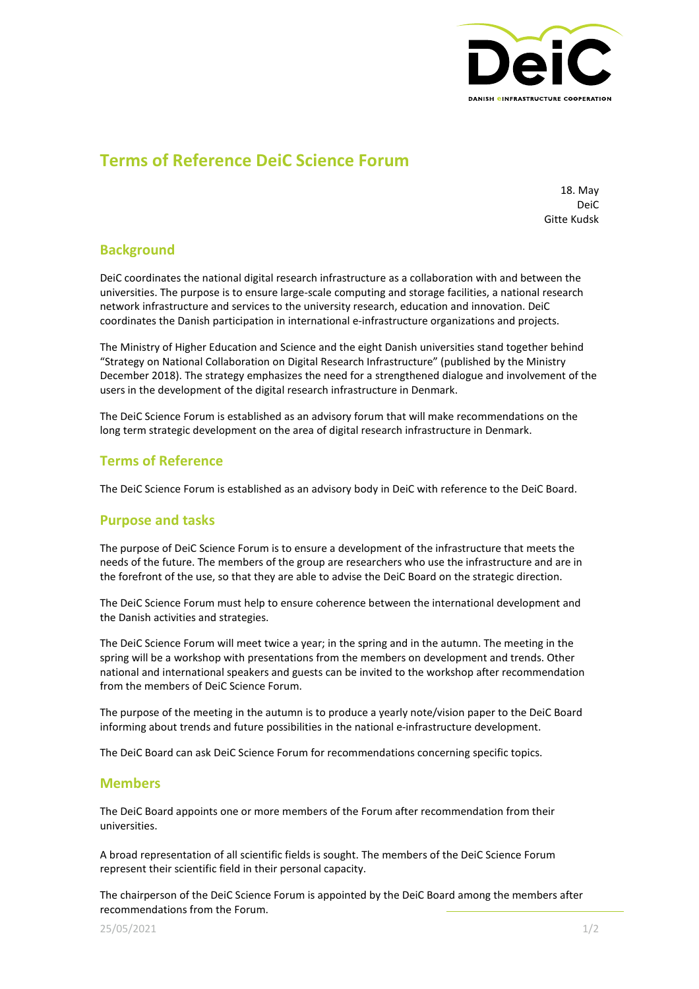

# **Terms of Reference DeiC Science Forum**

18. May DeiC Gitte Kudsk

## **Background**

DeiC coordinates the national digital research infrastructure as a collaboration with and between the universities. The purpose is to ensure large-scale computing and storage facilities, a national research network infrastructure and services to the university research, education and innovation. DeiC coordinates the Danish participation in international e-infrastructure organizations and projects.

The Ministry of Higher Education and Science and the eight Danish universities stand together behind "Strategy on National Collaboration on Digital Research Infrastructure" (published by the Ministry December 2018). The strategy emphasizes the need for a strengthened dialogue and involvement of the users in the development of the digital research infrastructure in Denmark.

The DeiC Science Forum is established as an advisory forum that will make recommendations on the long term strategic development on the area of digital research infrastructure in Denmark.

# **Terms of Reference**

The DeiC Science Forum is established as an advisory body in DeiC with reference to the DeiC Board.

# **Purpose and tasks**

The purpose of DeiC Science Forum is to ensure a development of the infrastructure that meets the needs of the future. The members of the group are researchers who use the infrastructure and are in the forefront of the use, so that they are able to advise the DeiC Board on the strategic direction.

The DeiC Science Forum must help to ensure coherence between the international development and the Danish activities and strategies.

The DeiC Science Forum will meet twice a year; in the spring and in the autumn. The meeting in the spring will be a workshop with presentations from the members on development and trends. Other national and international speakers and guests can be invited to the workshop after recommendation from the members of DeiC Science Forum.

The purpose of the meeting in the autumn is to produce a yearly note/vision paper to the DeiC Board informing about trends and future possibilities in the national e-infrastructure development.

The DeiC Board can ask DeiC Science Forum for recommendations concerning specific topics.

#### **Members**

The DeiC Board appoints one or more members of the Forum after recommendation from their universities.

A broad representation of all scientific fields is sought. The members of the DeiC Science Forum represent their scientific field in their personal capacity.

The chairperson of the DeiC Science Forum is appointed by the DeiC Board among the members after recommendations from the Forum.